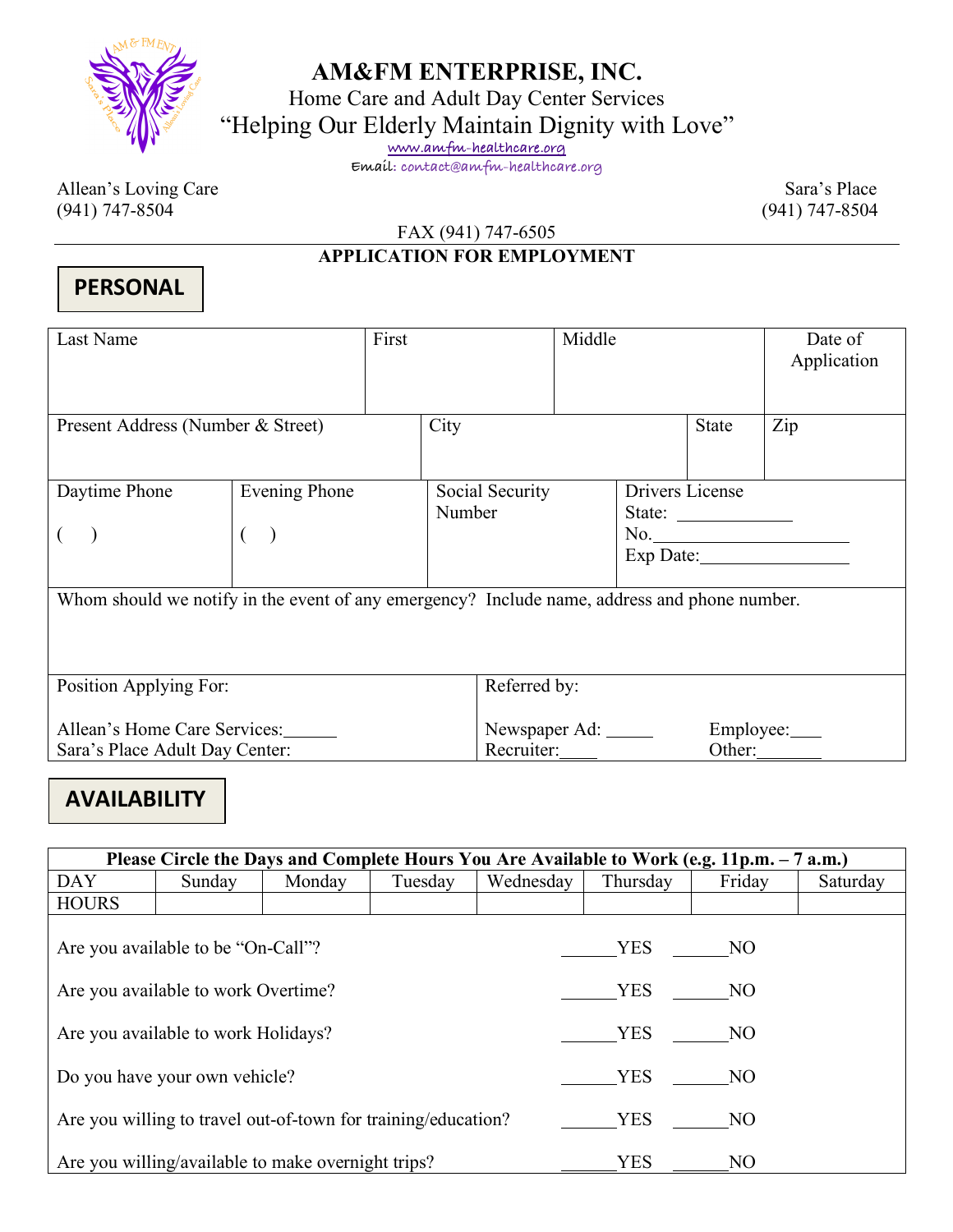

### **AM&FM ENTERPRISE, INC.**

Home Care and Adult Day Center Services

"Helping Our Elderly Maintain Dignity with Love"

**www.amfm-healthcare.org**

**Email: contact@amfm-healthcare.org**

Allean's Loving Care Sara's Place (941) 747-8504 (941) 747-8504

FAX (941) 747-6505

### **APPLICATION FOR EMPLOYMENT**

### **PERSONAL**

| Last Name                                                                                    |                      | First |                                    |                 | Middle       |                 |                                                           | Date of<br>Application                                                                                                                                                                                                                                                                                                                                             |
|----------------------------------------------------------------------------------------------|----------------------|-------|------------------------------------|-----------------|--------------|-----------------|-----------------------------------------------------------|--------------------------------------------------------------------------------------------------------------------------------------------------------------------------------------------------------------------------------------------------------------------------------------------------------------------------------------------------------------------|
| Present Address (Number & Street)                                                            |                      |       | City                               |                 | <b>State</b> | Zip             |                                                           |                                                                                                                                                                                                                                                                                                                                                                    |
| Daytime Phone                                                                                | <b>Evening Phone</b> |       | Number                             | Social Security |              | Drivers License | State: $\frac{1}{\sqrt{1-\frac{1}{2}} \cdot \frac{1}{2}}$ | $\begin{picture}(150,10) \put(0,0){\vector(1,0){100}} \put(15,0){\vector(1,0){100}} \put(15,0){\vector(1,0){100}} \put(15,0){\vector(1,0){100}} \put(15,0){\vector(1,0){100}} \put(15,0){\vector(1,0){100}} \put(15,0){\vector(1,0){100}} \put(15,0){\vector(1,0){100}} \put(15,0){\vector(1,0){100}} \put(15,0){\vector(1,0){100}} \put(15,0){\vector(1,0){100}}$ |
| Whom should we notify in the event of any emergency? Include name, address and phone number. |                      |       |                                    |                 |              |                 |                                                           |                                                                                                                                                                                                                                                                                                                                                                    |
| Position Applying For:                                                                       |                      |       | Referred by:                       |                 |              |                 |                                                           |                                                                                                                                                                                                                                                                                                                                                                    |
| Allean's Home Care Services:<br>Sara's Place Adult Day Center:                               |                      |       | Newspaper Ad: ______<br>Recruiter: |                 |              |                 | Employee:____<br>Other:                                   |                                                                                                                                                                                                                                                                                                                                                                    |

## **AVAILABILITY**

| Please Circle the Days and Complete Hours You Are Available to Work (e.g. 11p.m. – 7 a.m.) |        |        |         |            |            |                |          |
|--------------------------------------------------------------------------------------------|--------|--------|---------|------------|------------|----------------|----------|
| <b>DAY</b>                                                                                 | Sunday | Monday | Tuesday | Wednesday  | Thursday   | Friday         | Saturday |
| <b>HOURS</b>                                                                               |        |        |         |            |            |                |          |
| Are you available to be "On-Call"?                                                         |        |        |         |            | YES NO     |                |          |
| Are you available to work Overtime?                                                        |        |        |         |            | <b>YES</b> | NO             |          |
| Are you available to work Holidays?                                                        |        |        |         |            | YES        | NO             |          |
| Do you have your own vehicle?                                                              |        |        |         |            | <b>YES</b> | NO             |          |
| Are you willing to travel out-of-town for training/education?                              |        |        |         | <b>YES</b> | NO.        |                |          |
| Are you willing/available to make overnight trips?                                         |        |        |         |            | <b>YES</b> | N <sub>O</sub> |          |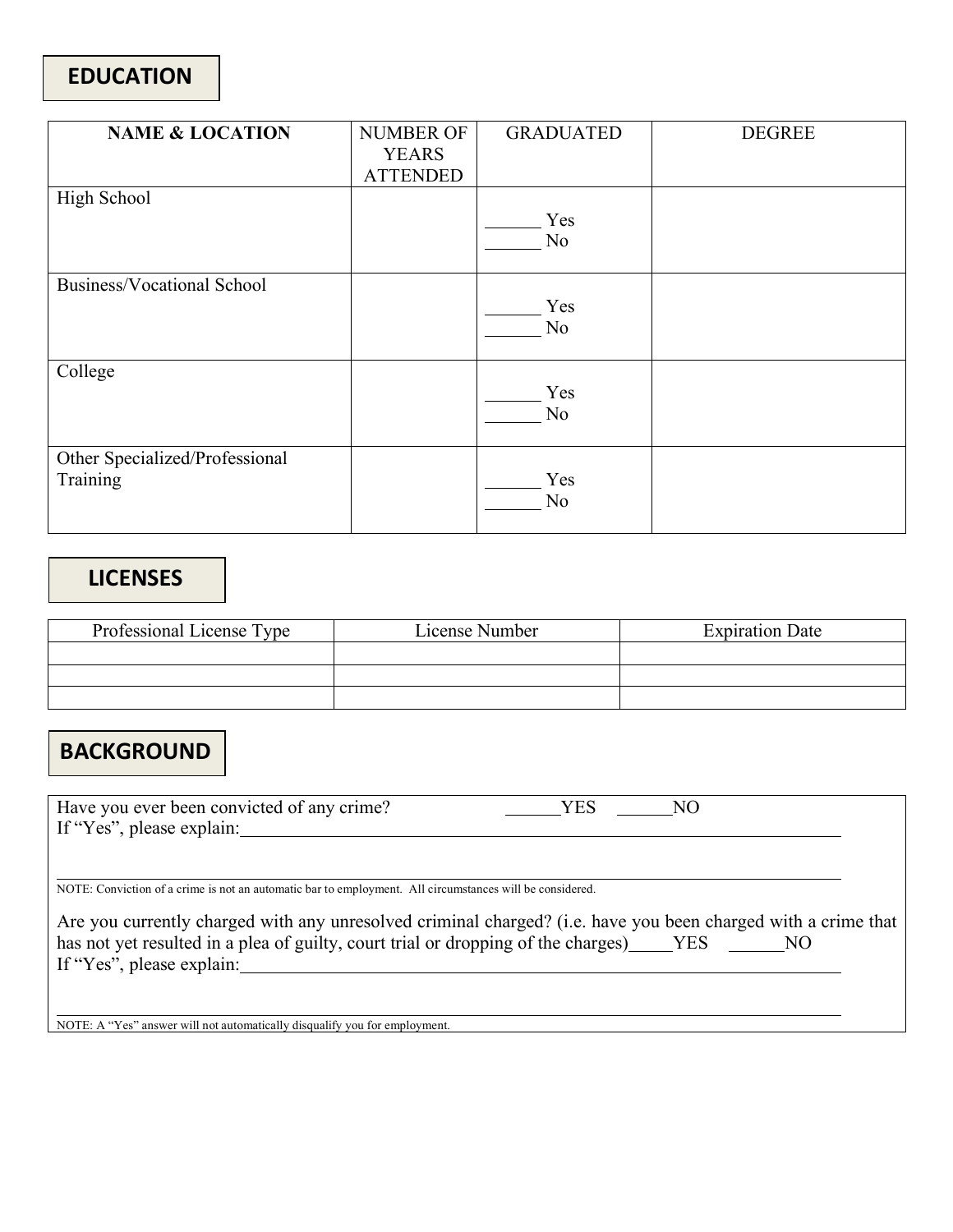| <b>NAME &amp; LOCATION</b>                 | <b>NUMBER OF</b><br><b>YEARS</b><br><b>ATTENDED</b> | <b>GRADUATED</b>      | <b>DEGREE</b> |
|--------------------------------------------|-----------------------------------------------------|-----------------------|---------------|
| High School                                |                                                     | Yes<br>N <sub>o</sub> |               |
| <b>Business/Vocational School</b>          |                                                     | Yes<br>N <sub>o</sub> |               |
| College                                    |                                                     | Yes<br>N <sub>o</sub> |               |
| Other Specialized/Professional<br>Training |                                                     | Yes<br>N <sub>o</sub> |               |

### **LICENSES**

| Professional License Type | License Number | <b>Expiration Date</b> |
|---------------------------|----------------|------------------------|
|                           |                |                        |
|                           |                |                        |
|                           |                |                        |

## **BACKGROUND**

Have you ever been convicted of any crime? THES NO If "Yes", please explain:

NOTE: Conviction of a crime is not an automatic bar to employment. All circumstances will be considered.

| Are you currently charged with any unresolved criminal charged? (i.e. have you been charged with a crime that |  |
|---------------------------------------------------------------------------------------------------------------|--|
| has not yet resulted in a plea of guilty, court trial or dropping of the charges) [YES]<br>NO.                |  |
| If "Yes", please explain:                                                                                     |  |

NOTE: A "Yes" answer will not automatically disqualify you for employment.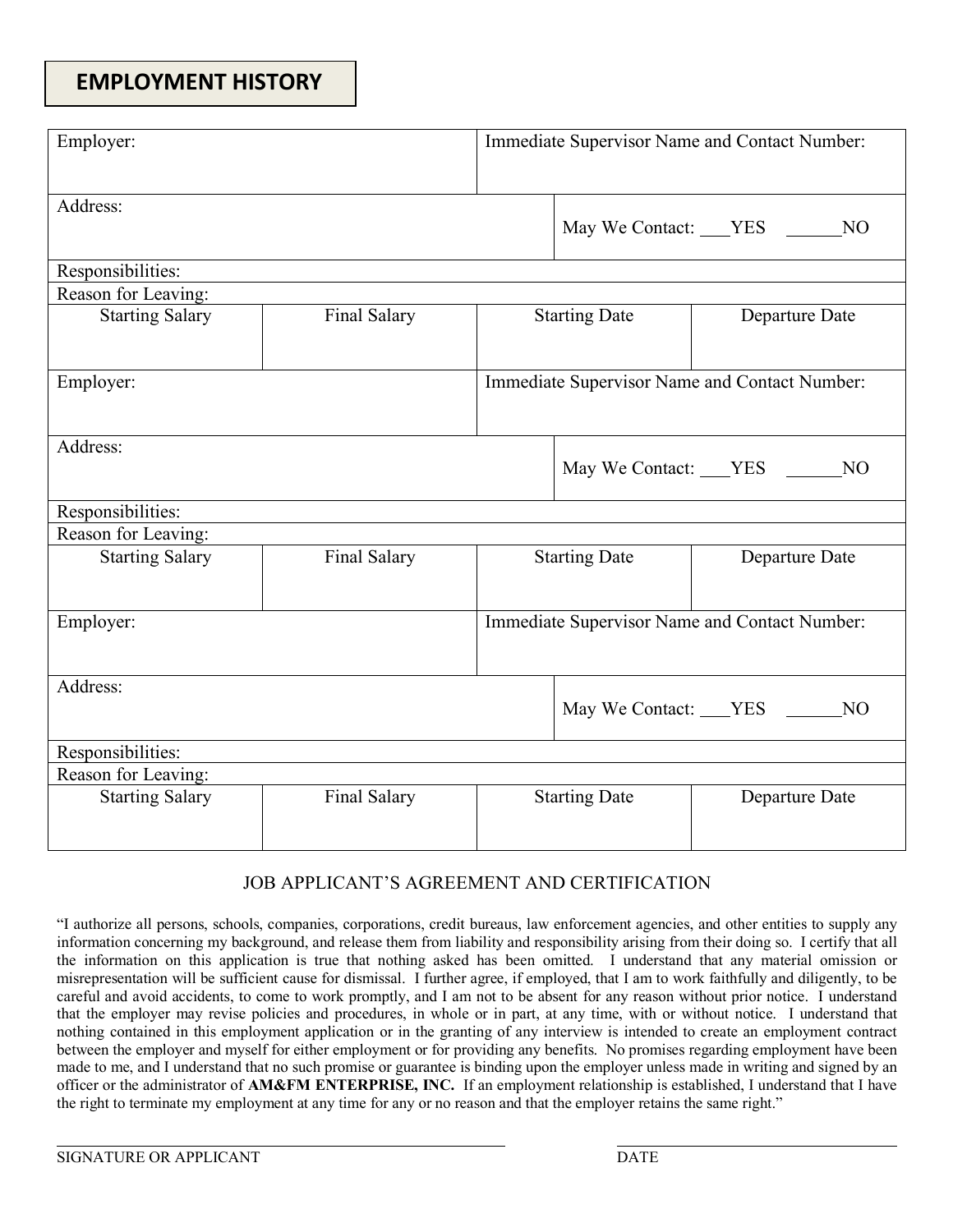### **EMPLOYMENT HISTORY**

| Employer:              |              | Immediate Supervisor Name and Contact Number: |  |                                               |  |
|------------------------|--------------|-----------------------------------------------|--|-----------------------------------------------|--|
| Address:               |              | May We Contact: YES NO                        |  |                                               |  |
| Responsibilities:      |              |                                               |  |                                               |  |
| Reason for Leaving:    |              |                                               |  |                                               |  |
| <b>Starting Salary</b> | Final Salary | <b>Starting Date</b>                          |  | Departure Date                                |  |
| Employer:              |              | Immediate Supervisor Name and Contact Number: |  |                                               |  |
| Address:               |              | May We Contact: YES NO                        |  |                                               |  |
| Responsibilities:      |              |                                               |  |                                               |  |
| Reason for Leaving:    |              |                                               |  |                                               |  |
| <b>Starting Salary</b> | Final Salary | <b>Starting Date</b>                          |  | Departure Date                                |  |
| Employer:              |              |                                               |  | Immediate Supervisor Name and Contact Number: |  |
| Address:               |              |                                               |  | May We Contact: VES<br>N <sub>O</sub>         |  |
| Responsibilities:      |              |                                               |  |                                               |  |
| Reason for Leaving:    |              |                                               |  |                                               |  |
| <b>Starting Salary</b> | Final Salary | <b>Starting Date</b>                          |  | Departure Date                                |  |

#### JOB APPLICANT'S AGREEMENT AND CERTIFICATION

"I authorize all persons, schools, companies, corporations, credit bureaus, law enforcement agencies, and other entities to supply any information concerning my background, and release them from liability and responsibility arising from their doing so. I certify that all the information on this application is true that nothing asked has been omitted. I understand that any material omission or misrepresentation will be sufficient cause for dismissal. I further agree, if employed, that I am to work faithfully and diligently, to be careful and avoid accidents, to come to work promptly, and I am not to be absent for any reason without prior notice. I understand that the employer may revise policies and procedures, in whole or in part, at any time, with or without notice. I understand that nothing contained in this employment application or in the granting of any interview is intended to create an employment contract between the employer and myself for either employment or for providing any benefits. No promises regarding employment have been made to me, and I understand that no such promise or guarantee is binding upon the employer unless made in writing and signed by an officer or the administrator of **AM&FM ENTERPRISE, INC.** If an employment relationship is established, I understand that I have the right to terminate my employment at any time for any or no reason and that the employer retains the same right."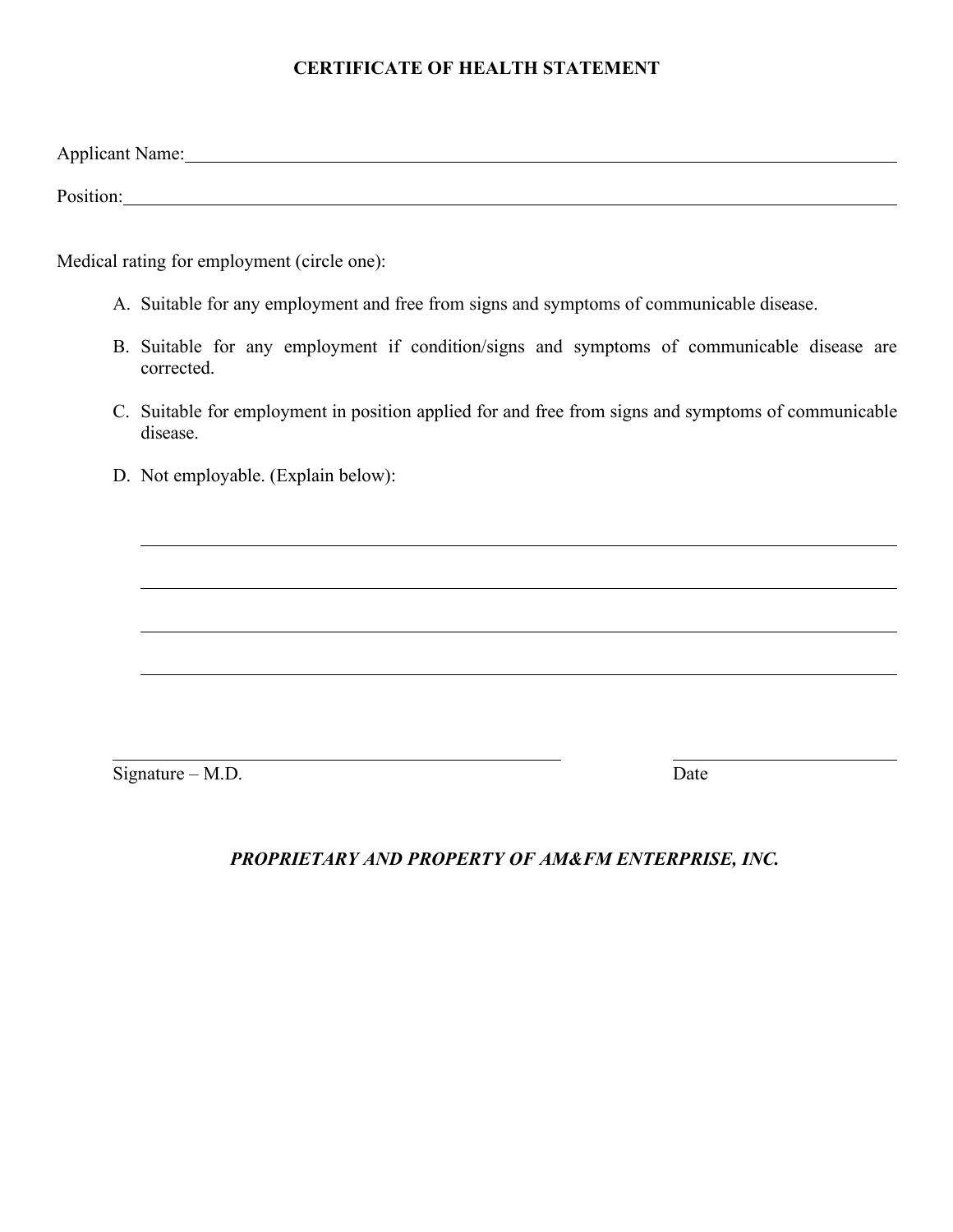#### **CERTIFICATE OF HEALTH STATEMENT**

Applicant Name:

Position:

Medical rating for employment (circle one):

- A. Suitable for any employment and free from signs and symptoms of communicable disease.
- B. Suitable for any employment if condition/signs and symptoms of communicable disease are corrected.
- C. Suitable for employment in position applied for and free from signs and symptoms of communicable disease.
- D. Not employable. (Explain below):

 $Sigma - M.D.$  Date

*PROPRIETARY AND PROPERTY OF AM&FM ENTERPRISE, INC.*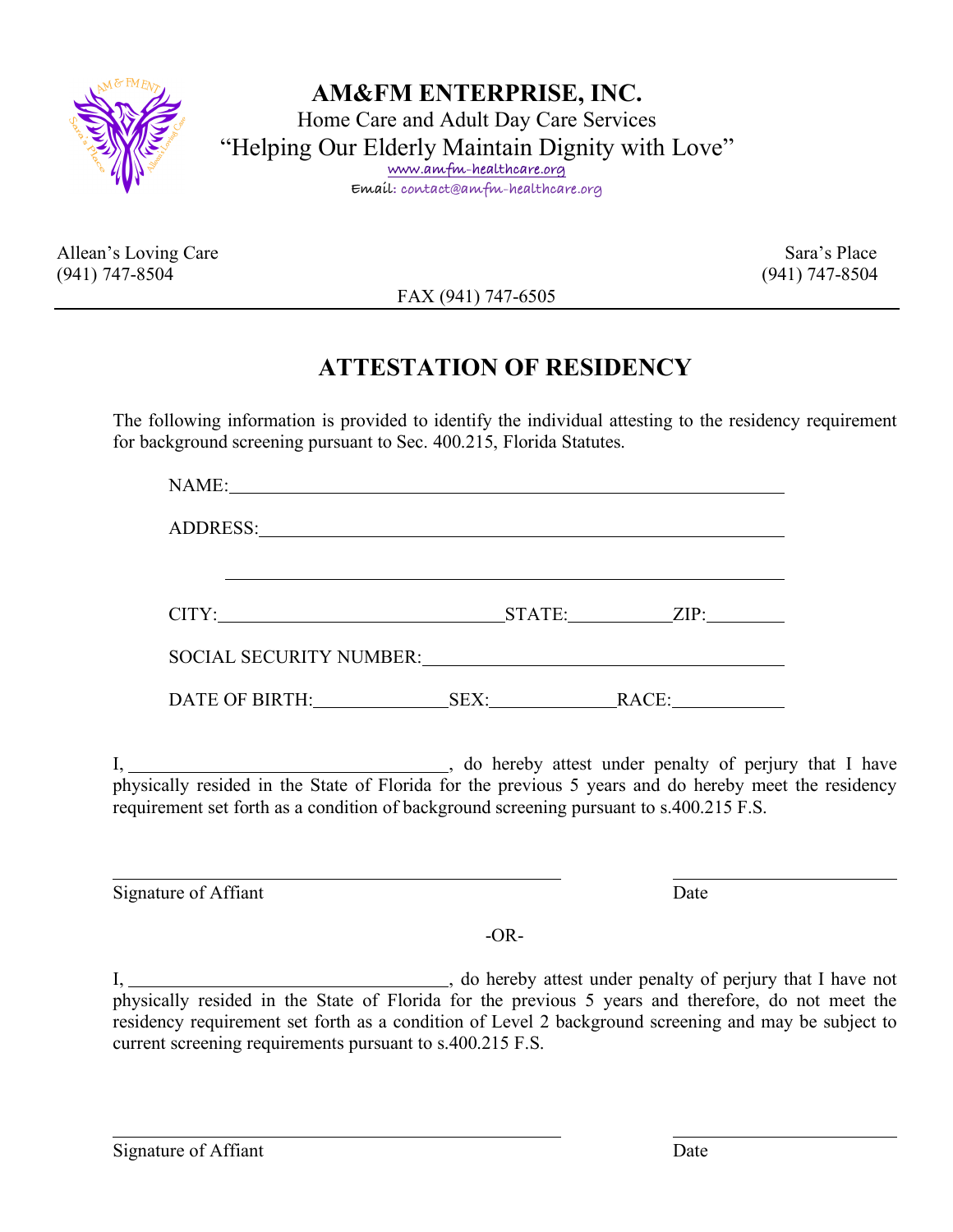

**AM&FM ENTERPRISE, INC.** Home Care and Adult Day Care Services "Helping Our Elderly Maintain Dignity with Love" **www.amfm-healthcare.org Email: contact@amfm-healthcare.org**

Allean's Loving Care Sara's Place (941) 747-8504 (941) 747-8504

FAX (941) 747-6505

## **ATTESTATION OF RESIDENCY**

The following information is provided to identify the individual attesting to the residency requirement for background screening pursuant to Sec. 400.215, Florida Statutes.

|  | requirement set forth as a condition of background screening pursuant to s.400.215 F.S. |
|--|-----------------------------------------------------------------------------------------|

 $-OR-$ 

I, 1. 1. The same of the same of the same of the same of the same of the same of the same of the same of the same of the same of the same of the same of the same of the same of the same of the same of the same of the same physically resided in the State of Florida for the previous 5 years and therefore, do not meet the residency requirement set forth as a condition of Level 2 background screening and may be subject to current screening requirements pursuant to s.400.215 F.S.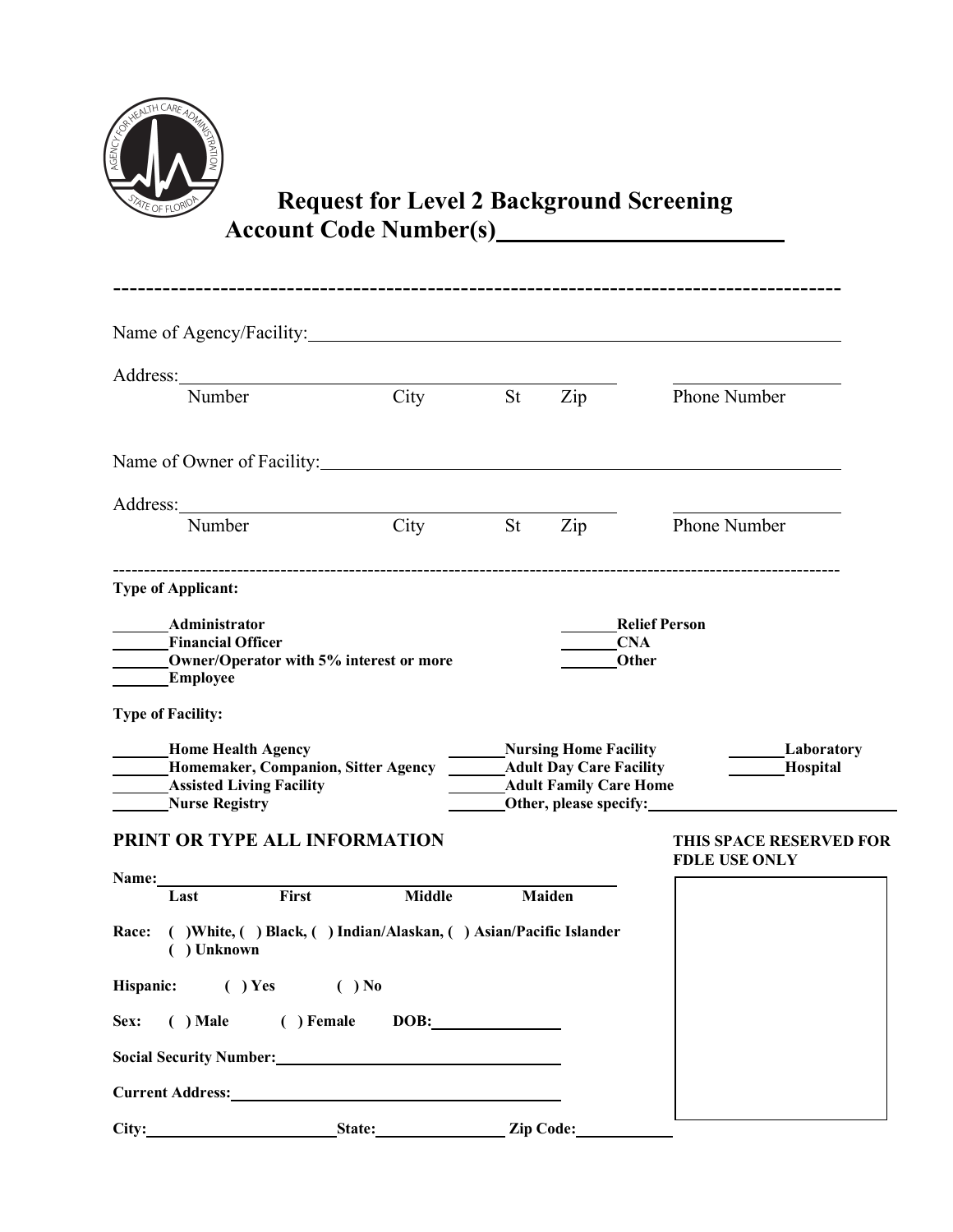

# **Request for Level 2 Background Screening** Account Code Number(s)

|                           | Name of Agency/Facility:                                                                            |               |           |                                                                                                                           |                                                         |
|---------------------------|-----------------------------------------------------------------------------------------------------|---------------|-----------|---------------------------------------------------------------------------------------------------------------------------|---------------------------------------------------------|
|                           |                                                                                                     |               |           |                                                                                                                           |                                                         |
| Number                    |                                                                                                     | City          | <b>St</b> | $\overline{Lip}$                                                                                                          | <b>Phone Number</b>                                     |
|                           | Name of Owner of Facility:                                                                          |               |           |                                                                                                                           |                                                         |
|                           |                                                                                                     |               |           |                                                                                                                           |                                                         |
| Number                    |                                                                                                     | City          | <b>St</b> | $\overline{Lip}$                                                                                                          | Phone Number                                            |
| <b>Type of Applicant:</b> |                                                                                                     |               |           |                                                                                                                           |                                                         |
| Administrator<br>Employee | <b>Financial Officer</b><br>Owner/Operator with 5% interest or more                                 |               |           |                                                                                                                           | <b>Relief Person</b><br><b>CNA</b><br>Other             |
| <b>Type of Facility:</b>  |                                                                                                     |               |           |                                                                                                                           |                                                         |
| <b>Nurse Registry</b>     | <b>Home Health Agency</b><br>Homemaker, Companion, Sitter Agency<br><b>Assisted Living Facility</b> |               |           | <b>Nursing Home Facility</b><br><b>Adult Day Care Facility</b><br><b>Adult Family Care Home</b><br>Other, please specify: | <b>Example 1</b><br><b>Example 1</b><br><b>Hospital</b> |
|                           | PRINT OR TYPE ALL INFORMATION                                                                       |               |           |                                                                                                                           | <b>THIS SPACE RESERVED FOR</b><br><b>FDLE USE ONLY</b>  |
| Name:<br>Last             | First                                                                                               | <b>Middle</b> |           | Maiden                                                                                                                    |                                                         |
| Race:<br>( ) Unknown      | () White, () Black, () Indian/Alaskan, () Asian/Pacific Islander                                    |               |           |                                                                                                                           |                                                         |
| Hispanic:                 | $( )$ Yes                                                                                           | $( )$ No      |           |                                                                                                                           |                                                         |
| $( )$ Male<br>Sex:        | ( ) Female                                                                                          | DOB:          |           |                                                                                                                           |                                                         |
|                           | Social Security Number: Management of the Social Security Number:                                   |               |           |                                                                                                                           |                                                         |
|                           | Current Address: No. 1997                                                                           |               |           |                                                                                                                           |                                                         |
| City:                     | <b>Example 2018</b> State: <u>Capacitan State:</u> Zip Code:                                        |               |           |                                                                                                                           |                                                         |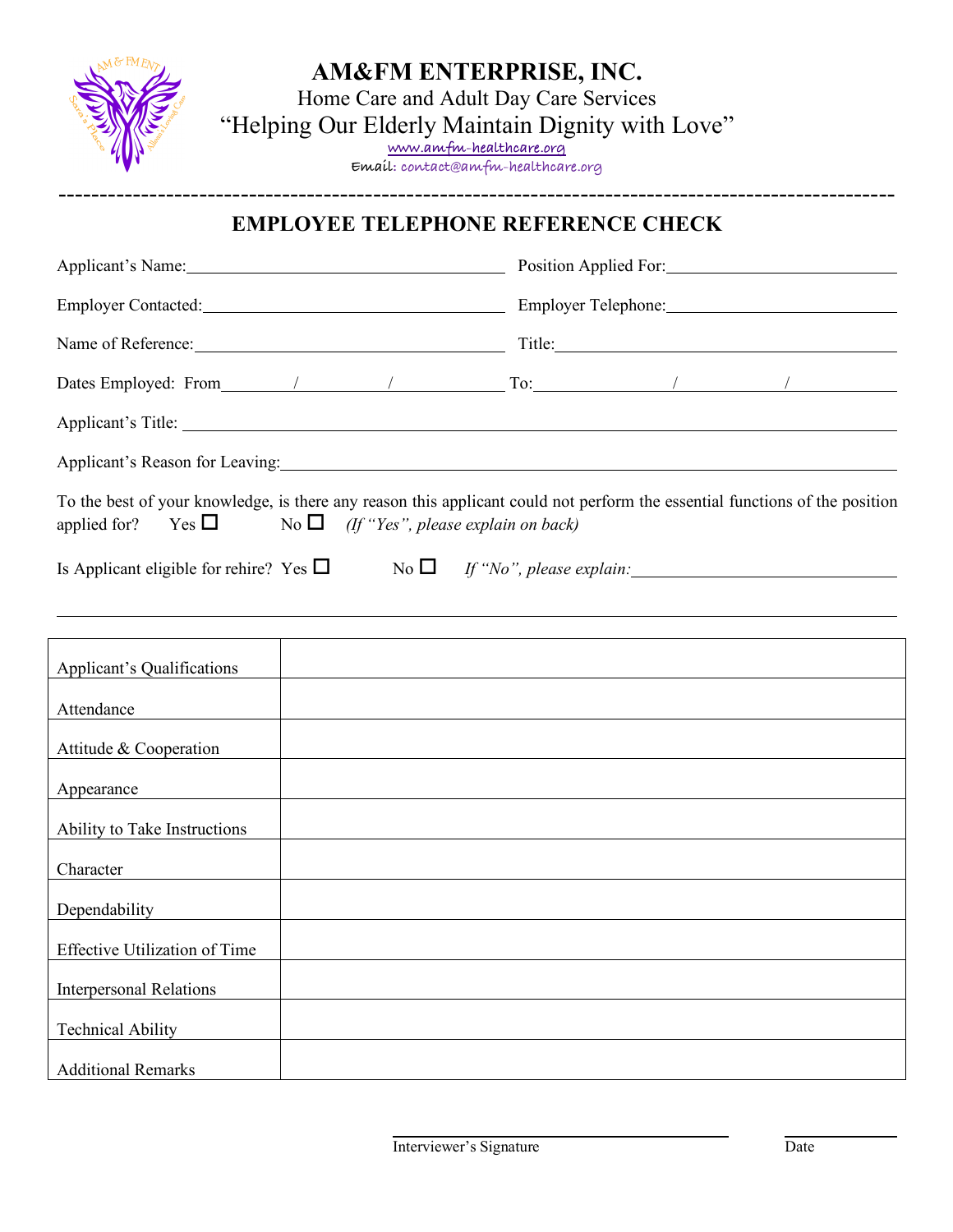

## **AM&FM ENTERPRISE, INC.**

Home Care and Adult Day Care Services "Helping Our Elderly Maintain Dignity with Love" **www.amfm-healthcare.org**

**Email: contact@amfm-healthcare.org** -----------------------------------------------------------------------------------------------------

### **EMPLOYEE TELEPHONE REFERENCE CHECK**

| Applicant's Name: 1988                       | Position Applied For:                                                                                                                                                                                                          |
|----------------------------------------------|--------------------------------------------------------------------------------------------------------------------------------------------------------------------------------------------------------------------------------|
|                                              |                                                                                                                                                                                                                                |
| Name of Reference:                           |                                                                                                                                                                                                                                |
|                                              |                                                                                                                                                                                                                                |
|                                              | Applicant's Title:                                                                                                                                                                                                             |
|                                              | Applicant's Reason for Leaving: 1997 and 2008 and 2009 and 2009 and 2009 and 2009 and 2009 and 2009 and 2009 and 2009 and 2009 and 2009 and 2009 and 2009 and 2009 and 2009 and 2009 and 2009 and 2009 and 2009 and 2009 and 2 |
| $Yes \Box$<br>applied for?                   | To the best of your knowledge, is there any reason this applicant could not perform the essential functions of the position<br>No $\Box$ (If "Yes", please explain on back)                                                    |
| Is Applicant eligible for rehire? Yes $\Box$ | No $\Box$ If "No", please explain:                                                                                                                                                                                             |
|                                              | ,我们也不会有什么?""我们的人,我们也不会有什么?""我们的人,我们也不会有什么?""我们的人,我们也不会有什么?""我们的人,我们也不会有什么?""我们的人<br>,我们也不会有什么。""我们的人,我们也不会有什么?""我们的人,我们也不会有什么?""我们的人,我们也不会有什么?""我们的人,我们也不会有什么?""我们的人                                                           |
| <b>Applicant's Qualifications</b>            |                                                                                                                                                                                                                                |
| Attendance                                   |                                                                                                                                                                                                                                |
| Attitude & Cooperation                       | <u> 1980 - Johann Barbara, martxa alemaniar amerikan a</u>                                                                                                                                                                     |
| Appearance                                   |                                                                                                                                                                                                                                |
| Ability to Take Instructions                 | and the control of the control of the control of the control of the control of the control of the control of the                                                                                                               |
| Character                                    | <u> 1989 - Johann Barnett, fransk politiker (d. 1989)</u>                                                                                                                                                                      |
| Dependability                                |                                                                                                                                                                                                                                |
| <b>Effective Utilization of Time</b>         |                                                                                                                                                                                                                                |
| <b>Interpersonal Relations</b>               |                                                                                                                                                                                                                                |
| <b>Technical Ability</b>                     |                                                                                                                                                                                                                                |
| <b>Additional Remarks</b>                    |                                                                                                                                                                                                                                |